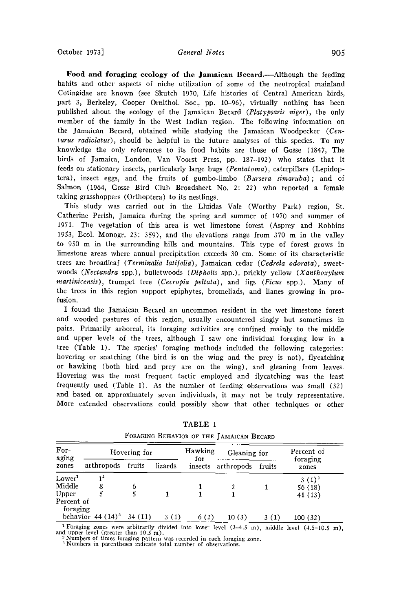Food and foraging ecology of the Jamaican Becard.—Although the feeding **habits and other aspects of niche utilization of some of the neotropical mainland Cotingidae are known (see Skutch 1970, Life histories of Central American birds, part 3, Berkeley, Cooper Ornithol. Soc., pp. 10-96), virtually nothing has been published about the ecology of the Jamaican Becard (Platypsaris niger), the only member of the family in the West Indian region. The following information on the Jamaican Becard, obtained while studying the Jamaican Woodpecker (Centurus radiolatus), should be helpful in the future analyses of this species. To my knowledge the only references to its food habits are those of Gosse (1847, The birds of Jamaica, London, Van Voorst Press, pp. 187-192) who states that it**  feeds on stationary insects, particularly large bugs (*Pentatoma*), caterpillars (Lepidop**tera), insect eggs, and the fruits of gumbo-limbo (Bursera simaruba); and of Salmon (1964, Gosse Bird Club Broadsheet No. 2: 22) who reported a female taking grasshoppers (Orthoptera) to its nestlings.** 

**This study was carried out in the Lluidas Vale (Worthy Park) region, St. Catherine Perish, Jamaica during the spring and summer of 1970 and summer of 1971. The vegetation of this area is wet limestone forest (Asprey and Robbins 1953, Ecol. Monogr. 23: 359), and the elevations range from 370 m in the valley to 950 m in the surrounding hills and mountains. This type of forest grows in limestone areas where annual precipitation exceeds 30 cm. Some of its characteristic**  trees are broadleaf (Terminalia latifolia), Jamaican cedar (Cedrela odorata), sweet**woods (Nectandra spp.), bulletwoods (Dipholis spp.), prickly yellow (Xanthoxylum martinicensis), trumpet tree (Cecropia peltata), and figs (Ficus spp.). Many of the trees in this region support epiphytes, bromeliads, and lianes growing in profusion.** 

**I found the Jamaican Becard an uncommon resident in the wet limestone forest and wooded pastures of this region, usually encountered singly but sometimes in pairs. Primarily arboreal, its foraging activities are confined mainly to the middle and upper levels of the trees, although I saw one individual foraging low in a tree (Table 1). The species' foraging methods included the following categories: hovering or snatching (the bird is on the wing and the prey is not), flycatching or hawking (both bird and prey are on the wing), and gleaning from leaves. Hovering was the most frequent tactic employed and flycatching was the least frequently used (Table 1). As the number of feeding observations was small (32) and based on approximately seven individuals, it may not be truly representative. More extended observations could possibly show that other techniques or other** 

| For-<br>aging<br>zones | Hovering for        |        |         | Hawking<br>for | Gleaning for |        | Percent of<br>foraging |
|------------------------|---------------------|--------|---------|----------------|--------------|--------|------------------------|
|                        | arthropods          | fruits | lizards | insects        | arthropods   | fruits | zones                  |
| Lower <sup>1</sup>     | 1 <sup>2</sup>      |        |         |                |              |        | $3(1)^3$               |
| Middle                 | 8                   | 6      |         |                |              |        | 56(18)                 |
| Upper                  |                     |        |         |                |              |        | 41 (13)                |
| Percent of<br>foraging |                     |        |         |                |              |        |                        |
|                        | behavior $44(14)^3$ | 34(11) | 3(1)    | 6(2)           | 10(3)        | 3(1)   | 100(32)                |

**TABLE 1**  FORAGING BEHAVIOR OF THE JAMAICAN BECARD

<sup>1</sup> Foraging zones were arbitrarily divided into lower level  $(3-4.5 \text{ m})$ , middle level  $(4.5-10.5 \text{ m})$ , **and upper level (greater than 10.5 m).** 

**2 Numbers of times foraging pattern was recorded in each foraging zone. • Numbers in parentheses indicate total number of observations.**